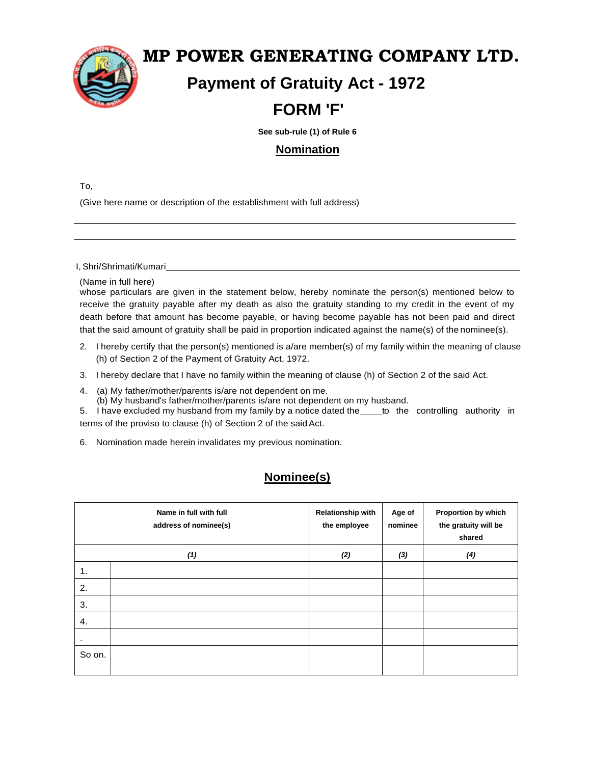

## **MP POWER GENERATING COMPANY LTD.**

# **Payment of Gratuity Act - 1972**

# **FORM 'F'**

 **See sub-rule (1) of Rule 6**

### **Nomination**

To,

(Give here name or description of the establishment with full address)

I, Shri/Shrimati/Kumari

(Name in full here)

whose particulars are given in the statement below, hereby nominate the person(s) mentioned below to receive the gratuity payable after my death as also the gratuity standing to my credit in the event of my death before that amount has become payable, or having become payable has not been paid and direct that the said amount of gratuity shall be paid in proportion indicated against the name(s) of the nominee(s).

- 2. I hereby certify that the person(s) mentioned is a/are member(s) of my family within the meaning of clause (h) of Section 2 of the Payment of Gratuity Act, 1972.
- 3. I hereby declare that I have no family within the meaning of clause (h) of Section 2 of the said Act.
- 4. (a) My father/mother/parents is/are not dependent on me.
	- (b) My husband's father/mother/parents is/are not dependent on my husband.

5. I have excluded my husband from my family by a notice dated the to the controlling authority in terms of the proviso to clause (h) of Section 2 of the said Act.

6. Nomination made herein invalidates my previous nomination.

### **Nominee(s)**

|        | Name in full with full<br>address of nominee(s) | <b>Relationship with</b><br>the employee | Age of<br>nominee | Proportion by which<br>the gratuity will be<br>shared |
|--------|-------------------------------------------------|------------------------------------------|-------------------|-------------------------------------------------------|
|        | (1)                                             | (2)                                      | (3)               | (4)                                                   |
| 1.     |                                                 |                                          |                   |                                                       |
| 2.     |                                                 |                                          |                   |                                                       |
| 3.     |                                                 |                                          |                   |                                                       |
| 4.     |                                                 |                                          |                   |                                                       |
| ٠      |                                                 |                                          |                   |                                                       |
| So on. |                                                 |                                          |                   |                                                       |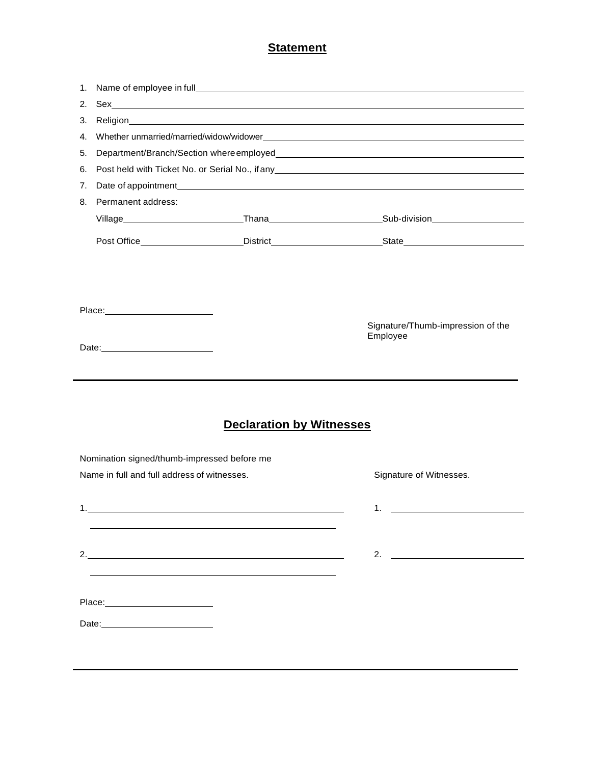| 1. |                                                                                            |                                 |                                               |
|----|--------------------------------------------------------------------------------------------|---------------------------------|-----------------------------------------------|
| 2. |                                                                                            |                                 |                                               |
| 3. |                                                                                            |                                 |                                               |
| 4. |                                                                                            |                                 |                                               |
| 5. |                                                                                            |                                 |                                               |
| 6. |                                                                                            |                                 |                                               |
| 7. |                                                                                            |                                 |                                               |
| 8. | Permanent address:                                                                         |                                 |                                               |
|    |                                                                                            |                                 |                                               |
|    |                                                                                            |                                 |                                               |
|    |                                                                                            |                                 | Signature/Thumb-impression of the<br>Employee |
|    | Date: 2008                                                                                 |                                 |                                               |
|    | Nomination signed/thumb-impressed before me<br>Name in full and full address of witnesses. | <b>Declaration by Witnesses</b> | Signature of Witnesses.                       |
|    |                                                                                            |                                 | 1.                                            |
|    |                                                                                            | 2.                              |                                               |
| 1. |                                                                                            |                                 | 2. $\qquad \qquad$                            |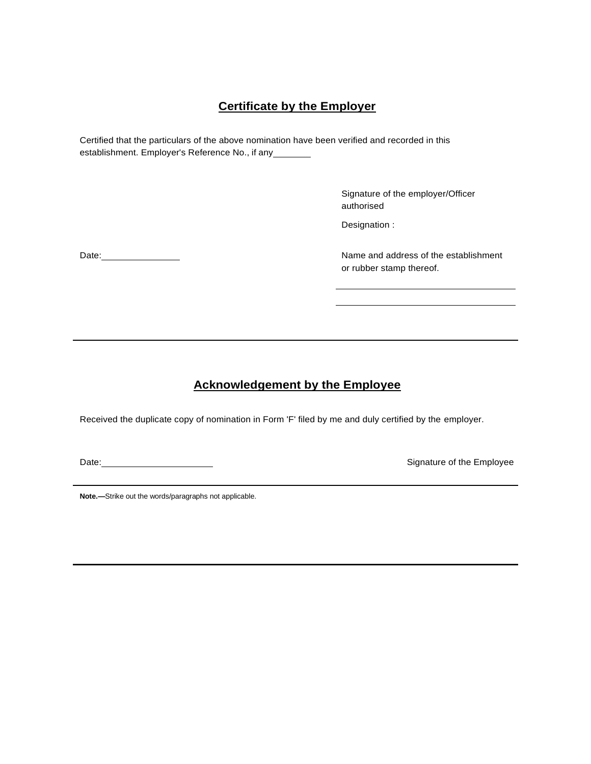### **Certificate by the Employer**

Certified that the particulars of the above nomination have been verified and recorded in this establishment. Employer's Reference No., if any

> Signature of the employer/Officer authorised

Designation :

Date: <u>Name and address of the establishment</u> or rubber stamp thereof.

### **Acknowledgement by the Employee**

Received the duplicate copy of nomination in Form 'F' filed by me and duly certified by the employer.

Date: Signature of the Employee

**Note.—**Strike out the words/paragraphs not applicable.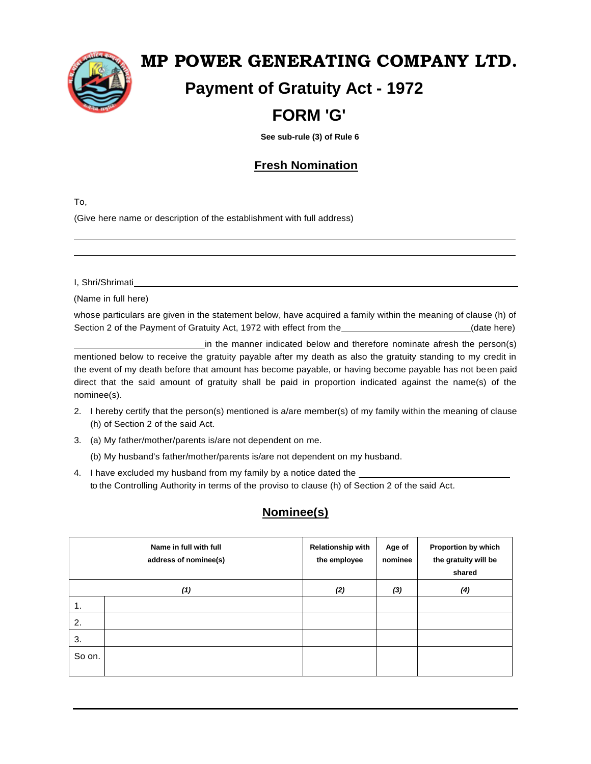

# **MP POWER GENERATING COMPANY LTD. Payment of Gratuity Act - 1972**

## **FORM 'G'**

 **See sub-rule (3) of Rule 6**

### **Fresh Nomination**

To,

(Give here name or description of the establishment with full address)

I, Shri/Shrimati

(Name in full here)

whose particulars are given in the statement below, have acquired a family within the meaning of clause (h) of Section 2 of the Payment of Gratuity Act, 1972 with effect from the (date here) (date here)

in the manner indicated below and therefore nominate afresh the person(s) mentioned below to receive the gratuity payable after my death as also the gratuity standing to my credit in the event of my death before that amount has become payable, or having become payable has not been paid direct that the said amount of gratuity shall be paid in proportion indicated against the name(s) of the nominee(s).

- 2. I hereby certify that the person(s) mentioned is a/are member(s) of my family within the meaning of clause (h) of Section 2 of the said Act.
- 3. (a) My father/mother/parents is/are not dependent on me.

(b) My husband's father/mother/parents is/are not dependent on my husband.

4. I have excluded my husband from my family by a notice dated the to the Controlling Authority in terms of the proviso to clause (h) of Section 2 of the said Act.

### **Nominee(s)**

|        | Name in full with full<br>address of nominee(s) | <b>Relationship with</b><br>the employee | Age of<br>nominee | Proportion by which<br>the gratuity will be<br>shared |
|--------|-------------------------------------------------|------------------------------------------|-------------------|-------------------------------------------------------|
|        | (1)                                             | (2)                                      | (3)               | (4)                                                   |
| 1.     |                                                 |                                          |                   |                                                       |
| 2.     |                                                 |                                          |                   |                                                       |
| 3.     |                                                 |                                          |                   |                                                       |
| So on. |                                                 |                                          |                   |                                                       |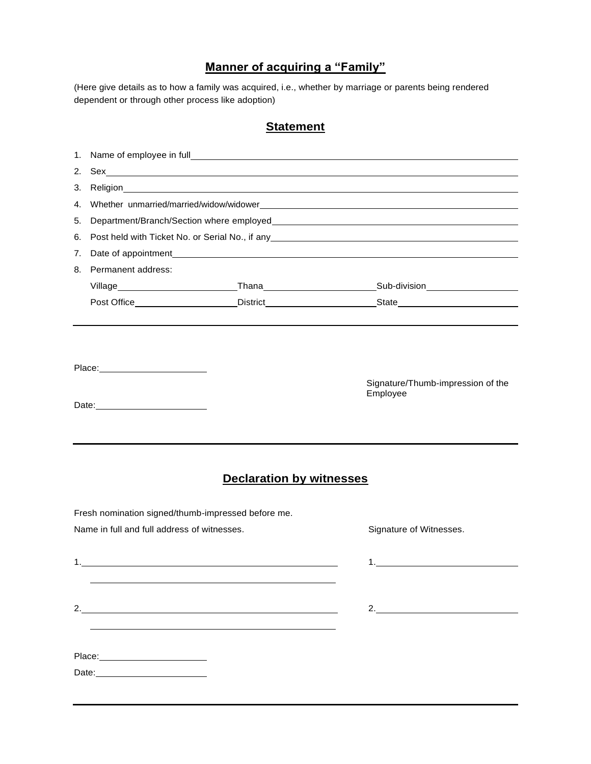### **Manner of acquiring a "Family"**

(Here give details as to how a family was acquired, i.e., whether by marriage or parents being rendered dependent or through other process like adoption)

| 1. |                                                                                                                                                                                                                                |                                                    |                                               |  |
|----|--------------------------------------------------------------------------------------------------------------------------------------------------------------------------------------------------------------------------------|----------------------------------------------------|-----------------------------------------------|--|
| 2. |                                                                                                                                                                                                                                |                                                    |                                               |  |
| 3. |                                                                                                                                                                                                                                |                                                    |                                               |  |
| 4. |                                                                                                                                                                                                                                |                                                    |                                               |  |
| 5. |                                                                                                                                                                                                                                |                                                    |                                               |  |
| 6. | Post held with Ticket No. or Serial No., if any example and the series of the series of the series of the series of the series of the series of the series of the series of the series of the series of the series of the seri |                                                    |                                               |  |
| 7. |                                                                                                                                                                                                                                |                                                    |                                               |  |
| 8. | Permanent address:                                                                                                                                                                                                             |                                                    |                                               |  |
|    |                                                                                                                                                                                                                                |                                                    |                                               |  |
|    |                                                                                                                                                                                                                                |                                                    |                                               |  |
|    | Place: _________________________                                                                                                                                                                                               |                                                    | Signature/Thumb-impression of the<br>Employee |  |
|    |                                                                                                                                                                                                                                | <b>Declaration by witnesses</b>                    |                                               |  |
|    |                                                                                                                                                                                                                                | Fresh nomination signed/thumb-impressed before me. |                                               |  |
|    | Name in full and full address of witnesses.                                                                                                                                                                                    |                                                    | Signature of Witnesses.                       |  |
|    |                                                                                                                                                                                                                                |                                                    | $1.$ $\blacksquare$                           |  |
|    |                                                                                                                                                                                                                                | 2. $\qquad \qquad$                                 | 2.                                            |  |
|    |                                                                                                                                                                                                                                |                                                    |                                               |  |
|    | Date: ___________________________                                                                                                                                                                                              |                                                    |                                               |  |
|    |                                                                                                                                                                                                                                |                                                    |                                               |  |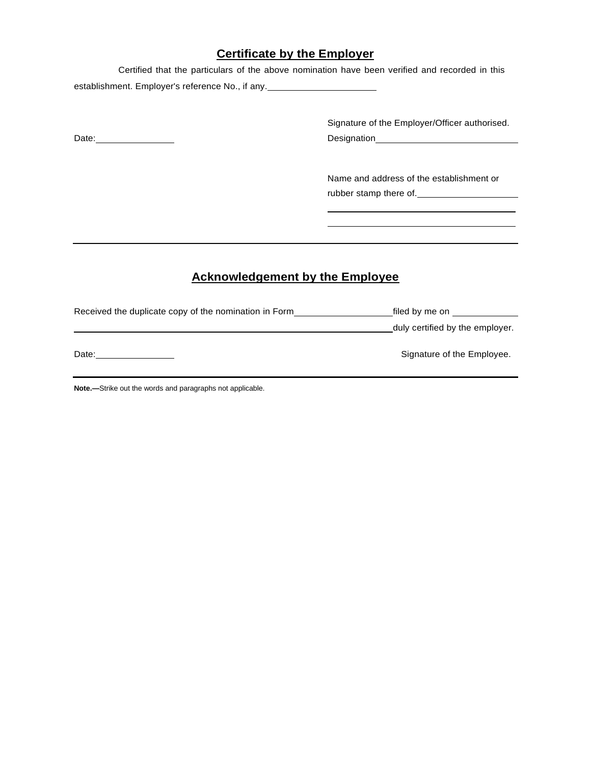### **Certificate by the Employer**

Certified that the particulars of the above nomination have been verified and recorded in this establishment. Employer's reference No., if any.

Signature of the Employer/Officer authorised. Date: <u>Date:</u> Designation Designation Designation Designation Designation Designation

> Name and address of the establishment or rubber stamp there of.

### **Acknowledgement by the Employee**

Received the duplicate copy of the nomination in Form Form filed by me on Filed by me on duly certified by the employer.

Date: Signature of the Employee.

**Note.—**Strike out the words and paragraphs not applicable.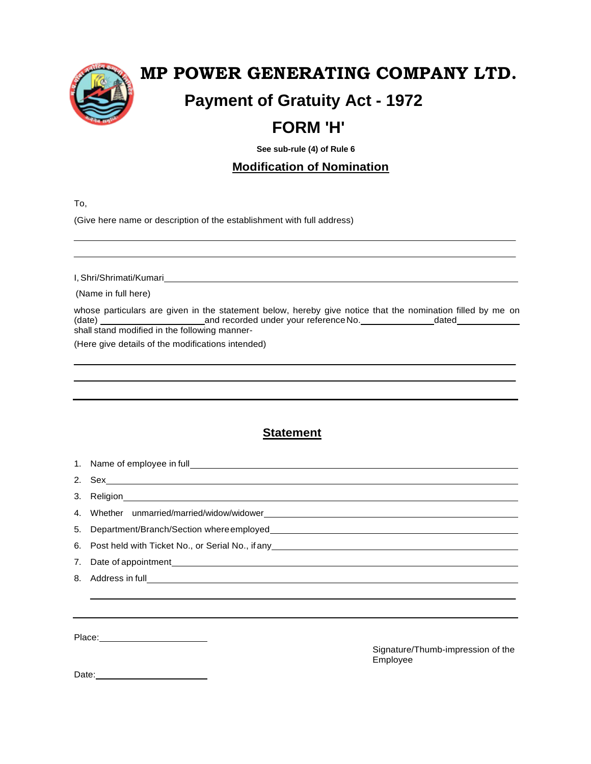

# **MP POWER GENERATING COMPANY LTD.**

# **Payment of Gratuity Act - 1972**

# **FORM 'H'**

 **See sub-rule (4) of Rule 6**

### **Modification of Nomination**

To,

(Give here name or description of the establishment with full address)

I, Shri/Shrimati/Kumari

(Name in full here)

whose particulars are given in the statement below, hereby give notice that the nomination filled by me on (date) and recorded under your referenceNo. dated shall stand modified in the following manner-

(Here give details of the modifications intended)

### **Statement**

1. Name of employee in full 2. Sex 3. Religion 4. Whether unmarried/married/widow/widower 5. Department/Branch/Section whereemployed 6. Post held with Ticket No., or Serial No., if any 7. Date of appointment 8. Address in full

Place: New York Place:

Signature/Thumb-impression of the Employee

Date: **Date:**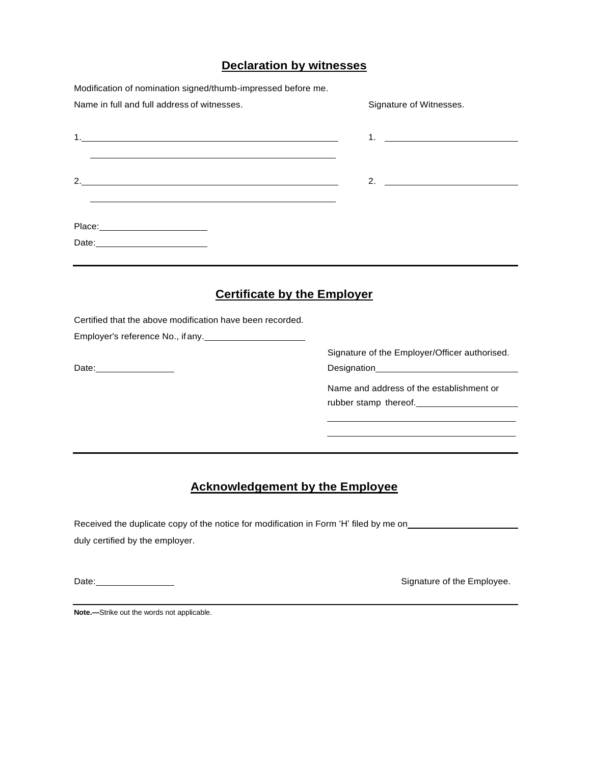### **Declaration by witnesses**

| Modification of nomination signed/thumb-impressed before me.                                                                                                                                                                         |                                               |  |
|--------------------------------------------------------------------------------------------------------------------------------------------------------------------------------------------------------------------------------------|-----------------------------------------------|--|
| Name in full and full address of witnesses.                                                                                                                                                                                          | Signature of Witnesses.                       |  |
| 1. <b>In the contract of the contract of the contract of the contract of the contract of the contract of the contract of the contract of the contract of the contract of the contract of the contract of the contract of the con</b> | $1.$ $\blacksquare$                           |  |
| 2.                                                                                                                                                                                                                                   | 2. $\qquad \qquad$                            |  |
|                                                                                                                                                                                                                                      |                                               |  |
| Date: <u>__________________________</u>                                                                                                                                                                                              |                                               |  |
| <b>Certificate by the Employer</b>                                                                                                                                                                                                   |                                               |  |
| Certified that the above modification have been recorded.                                                                                                                                                                            |                                               |  |
| Employer's reference No., if any.                                                                                                                                                                                                    |                                               |  |
|                                                                                                                                                                                                                                      | Signature of the Employer/Officer authorised. |  |
| Date: <u>www.community.com</u>                                                                                                                                                                                                       |                                               |  |
|                                                                                                                                                                                                                                      | Name and address of the establishment or      |  |
|                                                                                                                                                                                                                                      |                                               |  |
|                                                                                                                                                                                                                                      |                                               |  |
|                                                                                                                                                                                                                                      |                                               |  |
|                                                                                                                                                                                                                                      |                                               |  |

### **Acknowledgement by the Employee**

Received the duplicate copy of the notice for modification in Form 'H' filed by me on\_\_\_\_\_\_\_\_\_\_\_\_\_\_ duly certified by the employer.

Date: Signature of the Employee.

**Note.—**Strike out the words not applicable.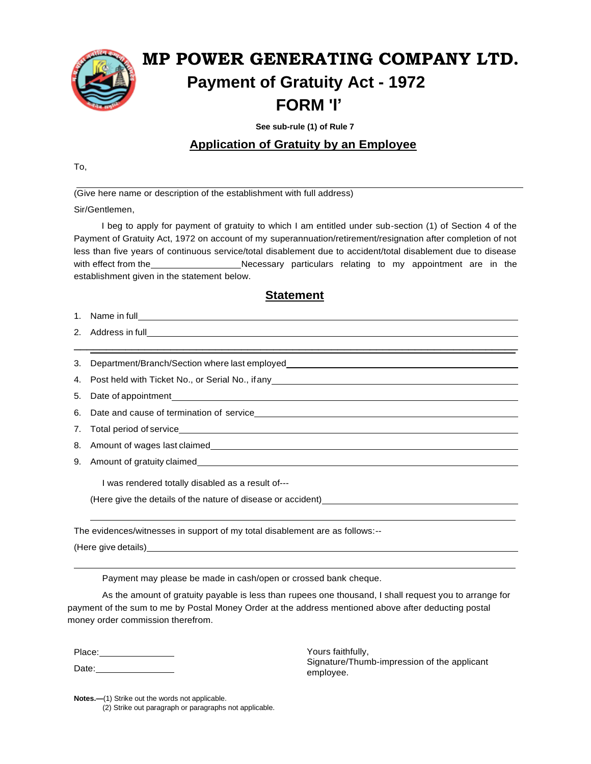

# **MP POWER GENERATING COMPANY LTD. Payment of Gratuity Act - 1972 FORM 'I'**

 **See sub-rule (1) of Rule 7**

### **Application of Gratuity by an Employee**

To,

 $\overline{a}$ (Give here name or description of the establishment with full address)

Sir/Gentlemen,

I beg to apply for payment of gratuity to which I am entitled under sub-section (1) of Section 4 of the Payment of Gratuity Act, 1972 on account of my superannuation/retirement/resignation after completion of not less than five years of continuous service/total disablement due to accident/total disablement due to disease with effect from the Necessary particulars relating to my appointment are in the establishment given in the statement below.

#### **Statement**

 $\overline{\phantom{a}}$  , and the contribution of the contribution of the contribution of the contribution of the contribution of the contribution of the contribution of the contribution of the contribution of the contribution of the

| 1. | Name in full |  |
|----|--------------|--|
|    |              |  |

2. Address in full **contained a contained a contact and a contact a contact a contact a** contact a contact a contact a contact a contact a contact a contact a contact a contact a contact a contact a contact a contact a con

3. Department/Branch/Section where last employed

4. Post held with Ticket No., or Serial No., ifany

5. Date of appointment

6. Date and cause of termination of service

7. Total period of service

8. Amount of wages last claimed

9. Amount of gratuity claimed

I was rendered totally disabled as a result of---

(Here give the details of the nature of disease or accident)

The evidences/witnesses in support of my total disablement are as follows:--

(Here give details)

Payment may please be made in cash/open or crossed bank cheque.

As the amount of gratuity payable is less than rupees one thousand, I shall request you to arrange for payment of the sum to me by Postal Money Order at the address mentioned above after deducting postal money order commission therefrom.

Place:

Date: **Date:** 

Yours faithfully, Signature/Thumb-impression of the applicant employee.

**Notes.—(1)** Strike out the words not applicable. (2) Strike out paragraph or paragraphs not applicable.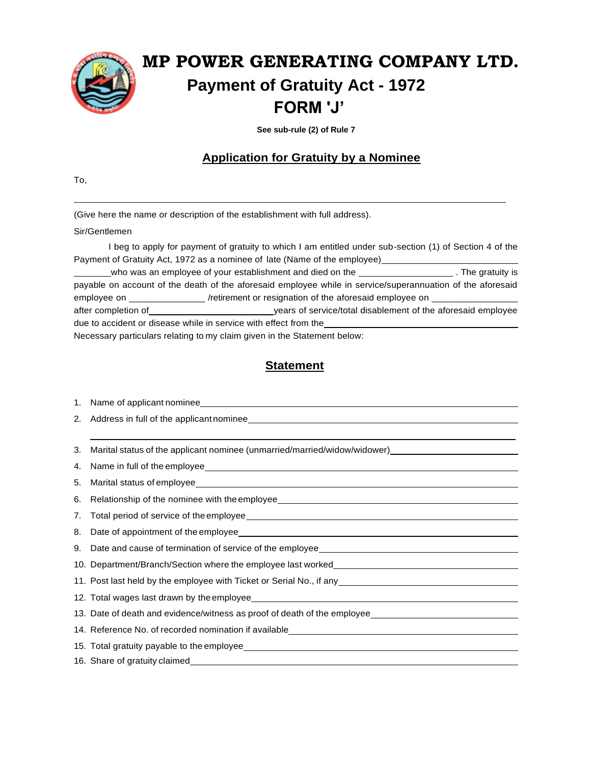

 **See sub-rule (2) of Rule 7**

### **Application for Gratuity by a Nominee**

To,

֦

(Give here the name or description of the establishment with full address).

#### Sir/Gentlemen

I beg to apply for payment of gratuity to which I am entitled under sub-section (1) of Section 4 of the Payment of Gratuity Act, 1972 as a nominee of late (Name of the employee) who was an employee of your establishment and died on the *witch the gratuity is* The gratuity is payable on account of the death of the aforesaid employee while in service/superannuation of the aforesaid

employee on \_\_\_\_\_\_\_\_\_\_\_\_\_\_\_\_\_ /retirement or resignation of the aforesaid employee on \_ after completion of years of service/total disablement of the aforesaid employee due to accident or disease while in service with effect from the

Necessary particulars relating to my claim given in the Statement below:

| 1. |                                                                                                                                                                                                                                     |
|----|-------------------------------------------------------------------------------------------------------------------------------------------------------------------------------------------------------------------------------------|
| 2. |                                                                                                                                                                                                                                     |
|    |                                                                                                                                                                                                                                     |
| 3. | Marital status of the applicant nominee (unmarried/married/widow/widower)__________________________                                                                                                                                 |
| 4. |                                                                                                                                                                                                                                     |
| 5. |                                                                                                                                                                                                                                     |
| 6. |                                                                                                                                                                                                                                     |
| 7. | Total period of service of the employee <b>contained a service of the employee</b> and the service of the employee and the service of the employee and the service of the employee and the service of the service of the service of |
| 8. |                                                                                                                                                                                                                                     |
| 9. |                                                                                                                                                                                                                                     |
|    | 10. Department/Branch/Section where the employee last worked____________________                                                                                                                                                    |
|    | 11. Post last held by the employee with Ticket or Serial No., if any <u>entitled and controlled</u> and the employee with Ticket or Serial No., if any entitled and the employee with Ticket or Serial No., if any entitled and the |
|    |                                                                                                                                                                                                                                     |
|    | 13. Date of death and evidence/witness as proof of death of the employee___________________________                                                                                                                                 |
|    |                                                                                                                                                                                                                                     |
|    |                                                                                                                                                                                                                                     |
|    |                                                                                                                                                                                                                                     |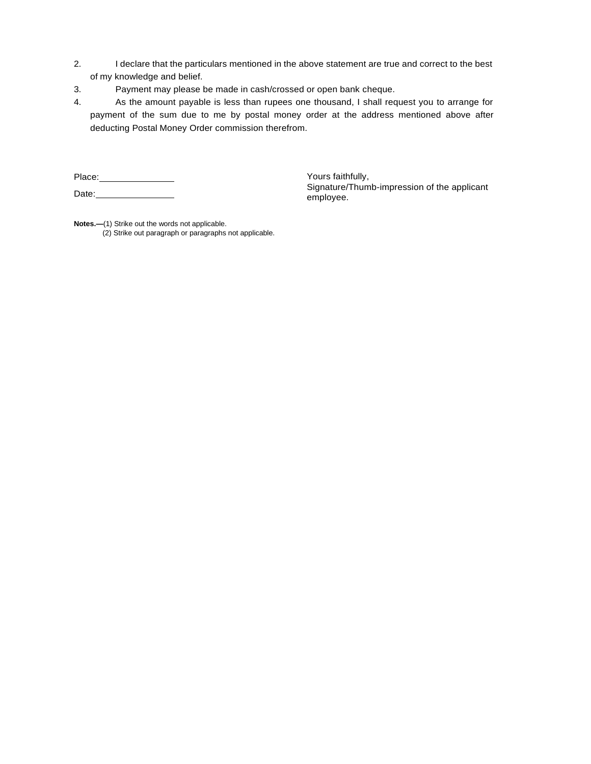- 2. I declare that the particulars mentioned in the above statement are true and correct to the best of my knowledge and belief.
- 3. Payment may please be made in cash/crossed or open bank cheque.
- 4. As the amount payable is less than rupees one thousand, I shall request you to arrange for payment of the sum due to me by postal money order at the address mentioned above after deducting Postal Money Order commission therefrom.

Place: Date: Yours faithfully, Signature/Thumb-impression of the applicant employee.

**Notes.—**(1) Strike out the words not applicable. (2) Strike out paragraph or paragraphs not applicable.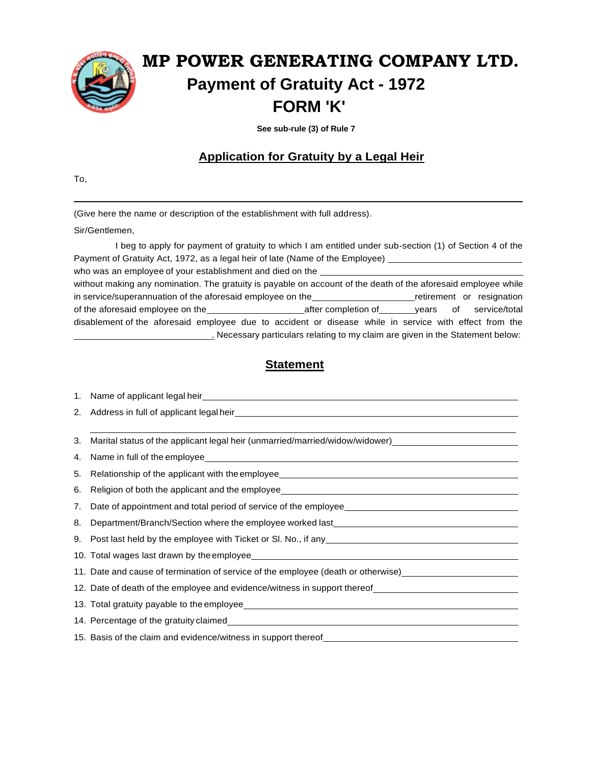

 **See sub-rule (3) of Rule 7**

### **Application for Gratuity by a Legal Heir**

To,

l

(Give here the name or description of the establishment with full address).

Sir/Gentlemen,

I beg to apply for payment of gratuity to which I am entitled under sub-section (1) of Section 4 of the Payment of Gratuity Act, 1972, as a legal heir of late (Name of the Employee) who was an employee of your establishment and died on the without making any nomination. The gratuity is payable on account of the death of the aforesaid employee while in service/superannuation of the aforesaid employee on the retirement or resignation of the aforesaid employee on the **after completion** of years of service/total disablement of the aforesaid employee due to accident or disease while in service with effect from the . Necessary particulars relating to my claim are given in the Statement below:

| 2. |                                                                                                                                                                                                                                      |
|----|--------------------------------------------------------------------------------------------------------------------------------------------------------------------------------------------------------------------------------------|
|    |                                                                                                                                                                                                                                      |
| 3. | Marital status of the applicant legal heir (unmarried/married/widow/widower)_______________________                                                                                                                                  |
| 4. |                                                                                                                                                                                                                                      |
| 5. | Relationship of the applicant with the employee_________________________________                                                                                                                                                     |
| 6. | Religion of both the applicant and the employee_________________________________                                                                                                                                                     |
| 7. |                                                                                                                                                                                                                                      |
| 8. | Department/Branch/Section where the employee worked last________________________                                                                                                                                                     |
|    |                                                                                                                                                                                                                                      |
|    |                                                                                                                                                                                                                                      |
|    | 11. Date and cause of termination of service of the employee (death or otherwise) [11] 11. Date and cause of termination of service of the employee (death or otherwise)                                                             |
|    | 12. Date of death of the employee and evidence/witness in support thereof __________________________                                                                                                                                 |
|    |                                                                                                                                                                                                                                      |
|    | 14. Percentage of the gratuity claimed <b>All and Street All and Street All and Street All and Street All and Street All and Street All and Street All and Street All and Street All and Street All and Street All and Street Al</b> |
|    | 15. Basis of the claim and evidence/witness in support thereof__________________                                                                                                                                                     |